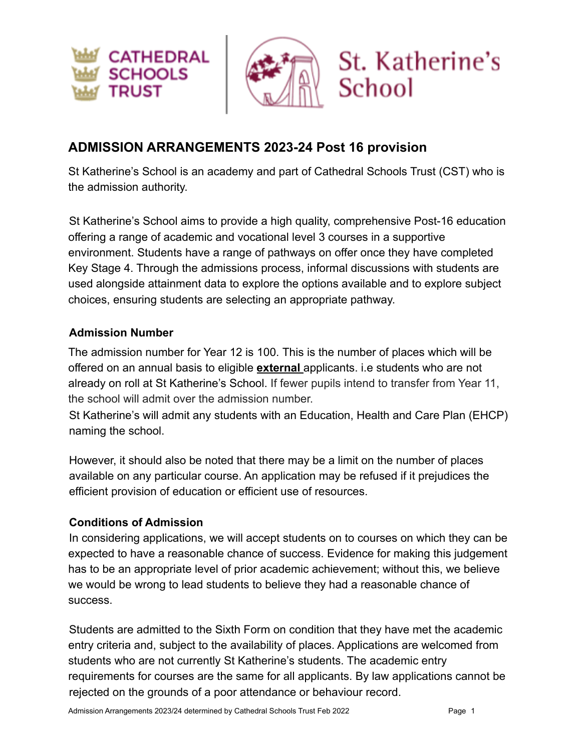

# **ADMISSION ARRANGEMENTS 2023-24 Post 16 provision**

St Katherine's School is an academy and part of Cathedral Schools Trust (CST) who is the admission authority.

St Katherine's School aims to provide a high quality, comprehensive Post-16 education offering a range of academic and vocational level 3 courses in a supportive environment. Students have a range of pathways on offer once they have completed Key Stage 4. Through the admissions process, informal discussions with students are used alongside attainment data to explore the options available and to explore subject choices, ensuring students are selecting an appropriate pathway.

#### **Admission Number**

The admission number for Year 12 is 100. This is the number of places which will be offered on an annual basis to eligible **external** applicants. i.e students who are not already on roll at St Katherine's School. If fewer pupils intend to transfer from Year 11, the school will admit over the admission number.

St Katherine's will admit any students with an Education, Health and Care Plan (EHCP) naming the school.

However, it should also be noted that there may be a limit on the number of places available on any particular course. An application may be refused if it prejudices the efficient provision of education or efficient use of resources.

#### **Conditions of Admission**

In considering applications, we will accept students on to courses on which they can be expected to have a reasonable chance of success. Evidence for making this judgement has to be an appropriate level of prior academic achievement; without this, we believe we would be wrong to lead students to believe they had a reasonable chance of success.

Students are admitted to the Sixth Form on condition that they have met the academic entry criteria and, subject to the availability of places. Applications are welcomed from students who are not currently St Katherine's students. The academic entry requirements for courses are the same for all applicants. By law applications cannot be rejected on the grounds of a poor attendance or behaviour record.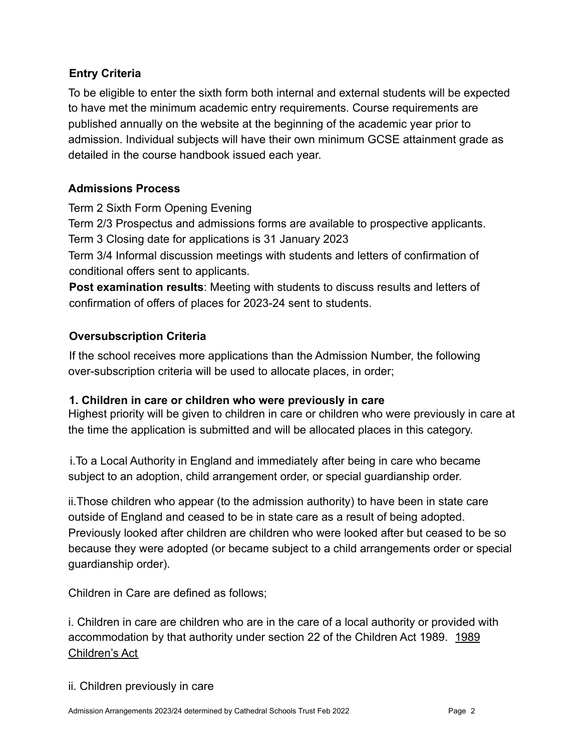#### **Entry Criteria**

To be eligible to enter the sixth form both internal and external students will be expected to have met the minimum academic entry requirements. Course requirements are published annually on the website at the beginning of the academic year prior to admission. Individual subjects will have their own minimum GCSE attainment grade as detailed in the course handbook issued each year.

#### **Admissions Process**

Term 2 Sixth Form Opening Evening

Term 2/3 Prospectus and admissions forms are available to prospective applicants. Term 3 Closing date for applications is 31 January 2023

Term 3/4 Informal discussion meetings with students and letters of confirmation of conditional offers sent to applicants.

**Post examination results**: Meeting with students to discuss results and letters of confirmation of offers of places for 2023-24 sent to students.

### **Oversubscription Criteria**

If the school receives more applications than the Admission Number, the following over-subscription criteria will be used to allocate places, in order;

#### **1. Children in care or children who were previously in care**

Highest priority will be given to children in care or children who were previously in care at the time the application is submitted and will be allocated places in this category.

i.To a Local Authority in England and immediately after being in care who became subject to an adoption, child arrangement order, or special guardianship order.

ii.Those children who appear (to the admission authority) to have been in state care outside of England and ceased to be in state care as a result of being adopted. Previously looked after children are children who were looked after but ceased to be so because they were adopted (or became subject to a child arrangements order or special guardianship order).

Children in Care are defined as follows;

i. Children in care are children who are in the care of a local authority or provided with accommodation by that authority under section 22 of the Children Act 1989. [1989](https://www.legislation.gov.uk/ukpga/1989/41/contents) [Children's Act](https://www.legislation.gov.uk/ukpga/1989/41/contents)

#### ii. Children previously in care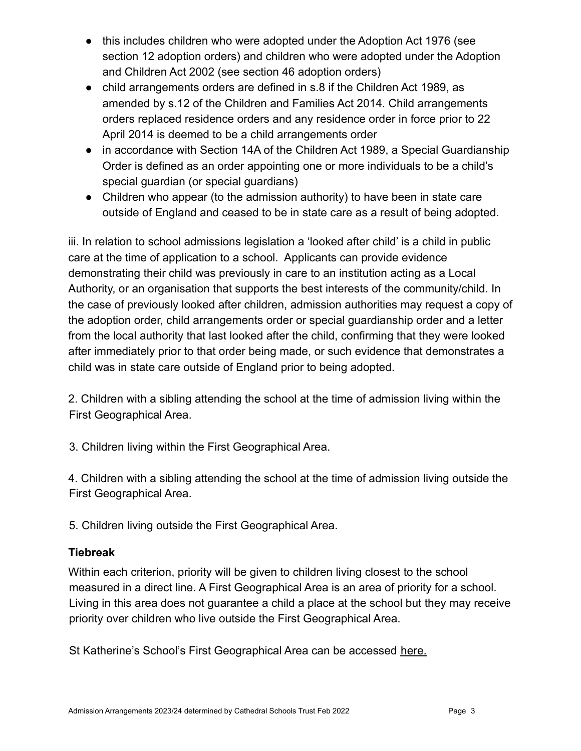- this includes children who were adopted under the Adoption Act 1976 (see section 12 adoption orders) and children who were adopted under the Adoption and Children Act 2002 (see section 46 adoption orders)
- child arrangements orders are defined in s.8 if the Children Act 1989, as amended by s.12 of the Children and Families Act 2014. Child arrangements orders replaced residence orders and any residence order in force prior to 22 April 2014 is deemed to be a child arrangements order
- in accordance with Section 14A of the Children Act 1989, a Special Guardianship Order is defined as an order appointing one or more individuals to be a child's special guardian (or special guardians)
- Children who appear (to the admission authority) to have been in state care outside of England and ceased to be in state care as a result of being adopted.

iii. In relation to school admissions legislation a 'looked after child' is a child in public care at the time of application to a school. Applicants can provide evidence demonstrating their child was previously in care to an institution acting as a Local Authority, or an organisation that supports the best interests of the community/child. In the case of previously looked after children, admission authorities may request a copy of the adoption order, child arrangements order or special guardianship order and a letter from the local authority that last looked after the child, confirming that they were looked after immediately prior to that order being made, or such evidence that demonstrates a child was in state care outside of England prior to being adopted.

2. Children with a sibling attending the school at the time of admission living within the First Geographical Area.

3. Children living within the First Geographical Area.

4. Children with a sibling attending the school at the time of admission living outside the First Geographical Area.

5. Children living outside the First Geographical Area.

#### **Tiebreak**

Within each criterion, priority will be given to children living closest to the school measured in a direct line. A First Geographical Area is an area of priority for a school. Living in this area does not guarantee a child a place at the school but they may receive priority over children who live outside the First Geographical Area.

St Katherine's School's First Geographical Area can be accessed [here.](https://drive.google.com/file/d/1SR_u75qo8tnZSMKEYhvTsY0pyOjAn8To/view?usp=sharing)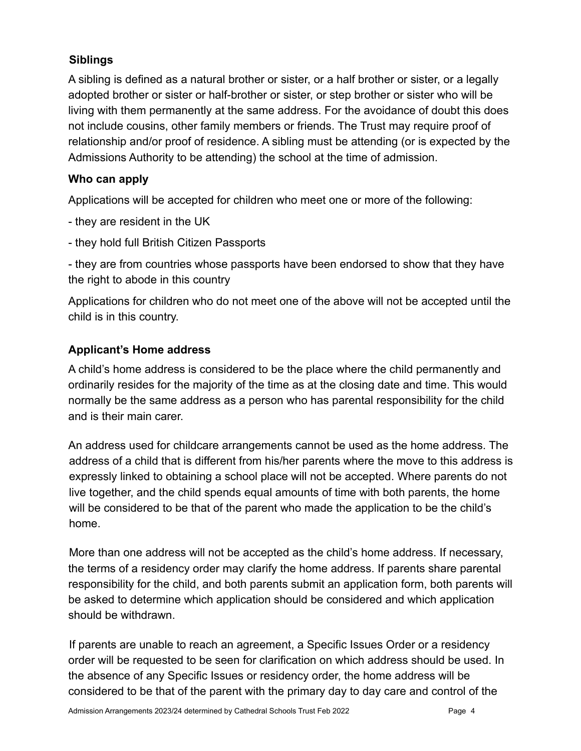#### **Siblings**

A sibling is defined as a natural brother or sister, or a half brother or sister, or a legally adopted brother or sister or half-brother or sister, or step brother or sister who will be living with them permanently at the same address. For the avoidance of doubt this does not include cousins, other family members or friends. The Trust may require proof of relationship and/or proof of residence. A sibling must be attending (or is expected by the Admissions Authority to be attending) the school at the time of admission.

#### **Who can apply**

Applications will be accepted for children who meet one or more of the following:

- they are resident in the UK
- they hold full British Citizen Passports

- they are from countries whose passports have been endorsed to show that they have the [right to abode](https://www.gov.uk/right-of-abode) in this country

Applications for children who do not meet one of the above will not be accepted until the child is in this country.

### **Applicant's Home address**

A child's home address is considered to be the place where the child permanently and ordinarily resides for the majority of the time as at the closing date and time. This would normally be the same address as a person who has parental responsibility for the child and is their main carer.

An address used for childcare arrangements cannot be used as the home address. The address of a child that is different from his/her parents where the move to this address is expressly linked to obtaining a school place will not be accepted. Where parents do not live together, and the child spends equal amounts of time with both parents, the home will be considered to be that of the parent who made the application to be the child's home.

More than one address will not be accepted as the child's home address. If necessary, the terms of a residency order may clarify the home address. If parents share parental responsibility for the child, and both parents submit an application form, both parents will be asked to determine which application should be considered and which application should be withdrawn.

If parents are unable to reach an agreement, a Specific Issues Order or a residency order will be requested to be seen for clarification on which address should be used. In the absence of any Specific Issues or residency order, the home address will be considered to be that of the parent with the primary day to day care and control of the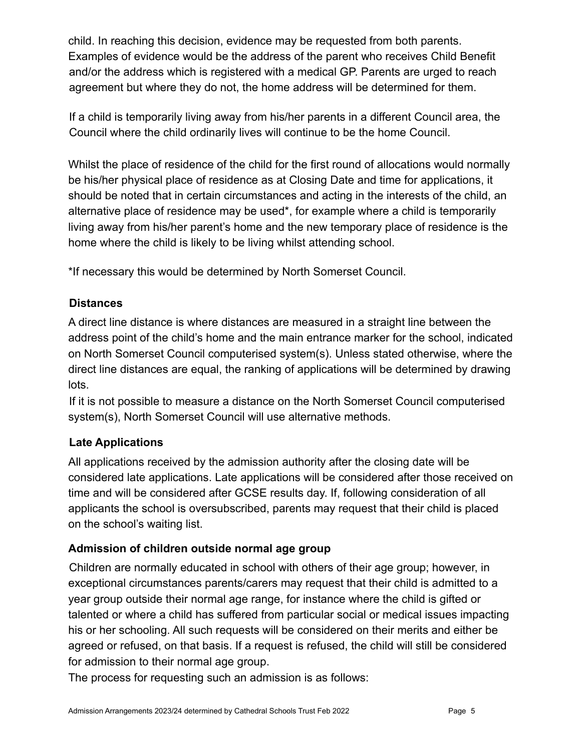child. In reaching this decision, evidence may be requested from both parents. Examples of evidence would be the address of the parent who receives Child Benefit and/or the address which is registered with a medical GP. Parents are urged to reach agreement but where they do not, the home address will be determined for them.

If a child is temporarily living away from his/her parents in a different Council area, the Council where the child ordinarily lives will continue to be the home Council.

Whilst the place of residence of the child for the first round of allocations would normally be his/her physical place of residence as at Closing Date and time for applications, it should be noted that in certain circumstances and acting in the interests of the child, an alternative place of residence may be used\*, for example where a child is temporarily living away from his/her parent's home and the new temporary place of residence is the home where the child is likely to be living whilst attending school.

\*If necessary this would be determined by North Somerset Council.

#### **Distances**

A direct line distance is where distances are measured in a straight line between the address point of the child's home and the main entrance marker for the school, indicated on North Somerset Council computerised system(s). Unless stated otherwise, where the direct line distances are equal, the ranking of applications will be determined by drawing lots.

If it is not possible to measure a distance on the North Somerset Council computerised system(s), North Somerset Council will use alternative methods.

### **Late Applications**

All applications received by the admission authority after the closing date will be considered late applications. Late applications will be considered after those received on time and will be considered after GCSE results day. If, following consideration of all applicants the school is oversubscribed, parents may request that their child is placed on the school's waiting list.

#### **Admission of children outside normal age group**

Children are normally educated in school with others of their age group; however, in exceptional circumstances parents/carers may request that their child is admitted to a year group outside their normal age range, for instance where the child is gifted or talented or where a child has suffered from particular social or medical issues impacting his or her schooling. All such requests will be considered on their merits and either be agreed or refused, on that basis. If a request is refused, the child will still be considered for admission to their normal age group.

The process for requesting such an admission is as follows: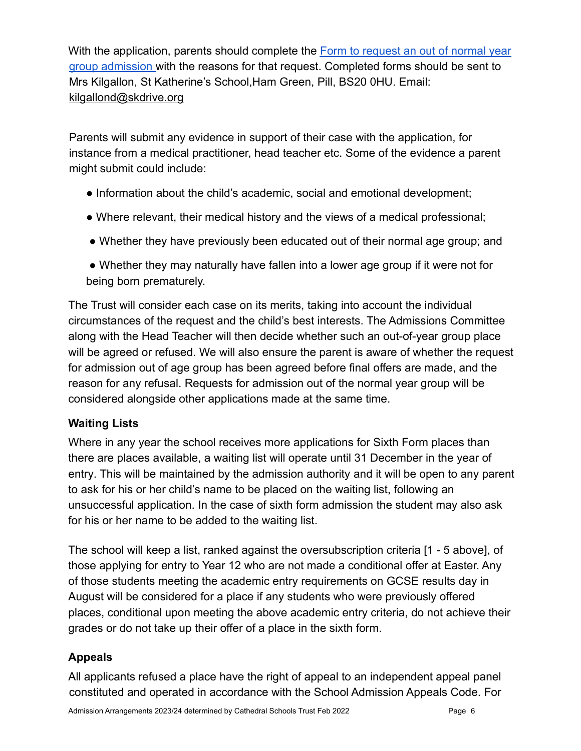With the application, parents should complete the [Form to request an out of normal year](https://docs.google.com/document/d/1VhpeDP41HM8kjn_vDtLJPDei7dYqLFXN/edit?usp=sharing&ouid=111971969837556975984&rtpof=true&sd=true) [group admission](https://docs.google.com/document/d/1VhpeDP41HM8kjn_vDtLJPDei7dYqLFXN/edit?usp=sharing&ouid=111971969837556975984&rtpof=true&sd=true) with the reasons for that request. Completed forms should be sent to Mrs Kilgallon, St Katherine's School,Ham Green, Pill, BS20 0HU. Email: kilgallond@skdrive.org

Parents will submit any evidence in support of their case with the application, for instance from a medical practitioner, head teacher etc. Some of the evidence a parent might submit could include:

- Information about the child's academic, social and emotional development;
- Where relevant, their medical history and the views of a medical professional;
- Whether they have previously been educated out of their normal age group; and
- Whether they may naturally have fallen into a lower age group if it were not for being born prematurely.

The Trust will consider each case on its merits, taking into account the individual circumstances of the request and the child's best interests. The Admissions Committee along with the Head Teacher will then decide whether such an out-of-year group place will be agreed or refused. We will also ensure the parent is aware of whether the request for admission out of age group has been agreed before final offers are made, and the reason for any refusal. Requests for admission out of the normal year group will be considered alongside other applications made at the same time.

## **Waiting Lists**

Where in any year the school receives more applications for Sixth Form places than there are places available, a waiting list will operate until 31 December in the year of entry. This will be maintained by the admission authority and it will be open to any parent to ask for his or her child's name to be placed on the waiting list, following an unsuccessful application. In the case of sixth form admission the student may also ask for his or her name to be added to the waiting list.

The school will keep a list, ranked against the oversubscription criteria [1 - 5 above], of those applying for entry to Year 12 who are not made a conditional offer at Easter. Any of those students meeting the academic entry requirements on GCSE results day in August will be considered for a place if any students who were previously offered places, conditional upon meeting the above academic entry criteria, do not achieve their grades or do not take up their offer of a place in the sixth form.

# **Appeals**

All applicants refused a place have the right of appeal to an independent appeal panel constituted and operated in accordance with the School Admission Appeals Code. For